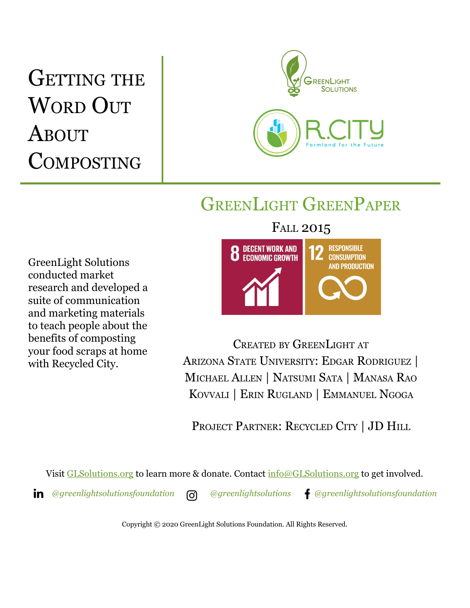# GETTING THE WORD OUT **ABOUT COMPOSTING**



## GREENLIGHT GREENPAPER

GreenLight Solutions conducted market research and developed a suite of communication and marketing materials to teach people about the benefits of composting your food scraps at home with Recycled City.

### FALL 2015



CREATED BY GREENLIGHT AT ARIZONA STATE UNIVERSITY: EDGAR RODRIGUEZ | MICHAEL ALLEN | NATSUMI SATA | MANASA RAO KOVVALI | ERIN RUGLAND | EMMANUEL NGOGA

PROJECT PARTNER: RECYCLED CITY | JD HILL

Visit [GLSolutions.org](https://www.glsolutions.org/) to learn more & donate. Contact [info@GLSolutions.org](mailto:info@GLSolutions.org) to get involved.

*[@greenlightsolutionsfoundation](https://www.linkedin.com/company/10571635) [@greenlightsolutions](https://www.instagram.com/greenlightsolutions/) [@greenlightsolutionsfoundation](https://www.facebook.com/GreenLightSolutionsFoundation/)*

Copyright © 2020 GreenLight Solutions Foundation. All Rights Reserved.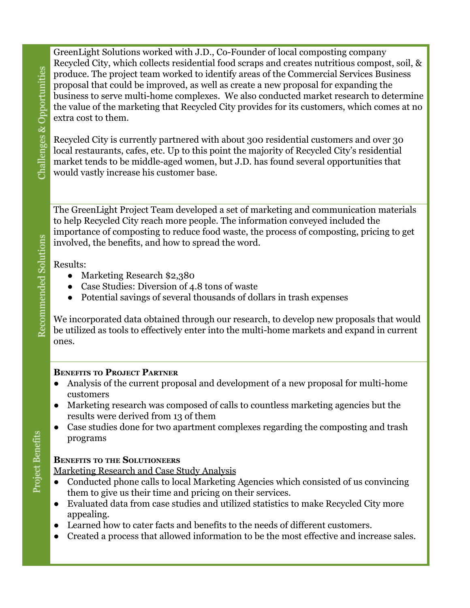GreenLight Solutions worked with J.D., Co-Founder of local composting company Recycled City, which collects residential food scraps and creates nutritious compost, soil, & produce. The project team worked to identify areas of the Commercial Services Business proposal that could be improved, as well as create a new proposal for expanding the business to serve multi-home complexes. We also conducted market research to determine the value of the marketing that Recycled City provides for its customers, which comes at no extra cost to them.

Recycled City is currently partnered with about 300 residential customers and over 30 local restaurants, cafes, etc. Up to this point the majority of Recycled City's residential market tends to be middle-aged women, but J.D. has found several opportunities that would vastly increase his customer base.

The GreenLight Project Team developed a set of marketing and communication materials to help Recycled City reach more people. The information conveyed included the importance of composting to reduce food waste, the process of composting, pricing to get involved, the benefits, and how to spread the word.

Results:

- Marketing Research \$2,380
- Case Studies: Diversion of 4.8 tons of waste
- Potential savings of several thousands of dollars in trash expenses

We incorporated data obtained through our research, to develop new proposals that would be utilized as tools to effectively enter into the multi-home markets and expand in current ones.

#### **BENEFITS TO PROJECT PARTNER**

- Analysis of the current proposal and development of a new proposal for multi-home customers
- Marketing research was composed of calls to countless marketing agencies but the results were derived from 13 of them
- Case studies done for two apartment complexes regarding the composting and trash programs

#### **BENEFITS TO THE SOLUTIONEERS**

Marketing Research and Case Study Analysis

- Conducted phone calls to local Marketing Agencies which consisted of us convincing them to give us their time and pricing on their services.
- Evaluated data from case studies and utilized statistics to make Recycled City more appealing.
- Learned how to cater facts and benefits to the needs of different customers.
- Created a process that allowed information to be the most effective and increase sales.

Challenges & Opportunities Recommended Solutions

Project Benefits